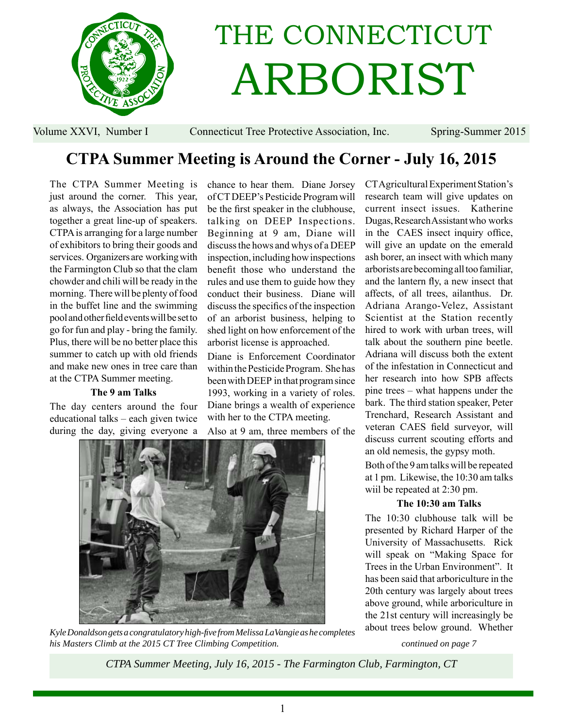

# THE CONNECTICUT ARBORIST

Volume XXVI, Number I Connecticut Tree Protective Association, Inc. Spring-Summer 2015

# **CTPA Summer Meeting is Around the Corner - July 16, 2015**

The CTPA Summer Meeting is just around the corner. This year, as always, the Association has put together a great line-up of speakers. CTPA is arranging for a large number of exhibitors to bring their goods and services. Organizers are working with the Farmington Club so that the clam chowder and chili will be ready in the morning. There will be plenty of food in the buffet line and the swimming pool and other field events will be set to go for fun and play - bring the family. Plus, there will be no better place this summer to catch up with old friends and make new ones in tree care than at the CTPA Summer meeting.

#### **The 9 am Talks**

The day centers around the four educational talks – each given twice during the day, giving everyone a chance to hear them. Diane Jorsey of CT DEEP's Pesticide Program will be the first speaker in the clubhouse, talking on DEEP Inspections. Beginning at 9 am, Diane will discuss the hows and whys of a DEEP inspection, including how inspections benefit those who understand the rules and use them to guide how they conduct their business. Diane will discuss the specifics of the inspection of an arborist business, helping to shed light on how enforcement of the arborist license is approached.

Diane is Enforcement Coordinator within the Pesticide Program. She has been with DEEP in that program since 1993, working in a variety of roles. Diane brings a wealth of experience with her to the CTPA meeting.

Also at 9 am, three members of the



*Kyle Donaldson gets a congratulatory high-fi ve from Melissa LaVangie as he completes his Masters Climb at the 2015 CT Tree Climbing Competition.*

CT Agricultural Experiment Station's research team will give updates on current insect issues. Katherine Dugas, Research Assistant who works in the CAES insect inquiry office, will give an update on the emerald ash borer, an insect with which many arborists are becoming all too familiar, and the lantern fly, a new insect that affects, of all trees, ailanthus. Dr. Adriana Arango-Velez, Assistant Scientist at the Station recently hired to work with urban trees, will talk about the southern pine beetle. Adriana will discuss both the extent of the infestation in Connecticut and her research into how SPB affects pine trees – what happens under the bark. The third station speaker, Peter Trenchard, Research Assistant and veteran CAES field surveyor, will discuss current scouting efforts and an old nemesis, the gypsy moth.

Both of the 9 am talks will be repeated at 1 pm. Likewise, the 10:30 am talks wiil be repeated at 2:30 pm.

#### **The 10:30 am Talks**

The 10:30 clubhouse talk will be presented by Richard Harper of the University of Massachusetts. Rick will speak on "Making Space for Trees in the Urban Environment". It has been said that arboriculture in the 20th century was largely about trees above ground, while arboriculture in the 21st century will increasingly be about trees below ground. Whether

*continued on page 7*

*CTPA Summer Meeting, July 16, 2015 - The Farmington Club, Farmington, CT*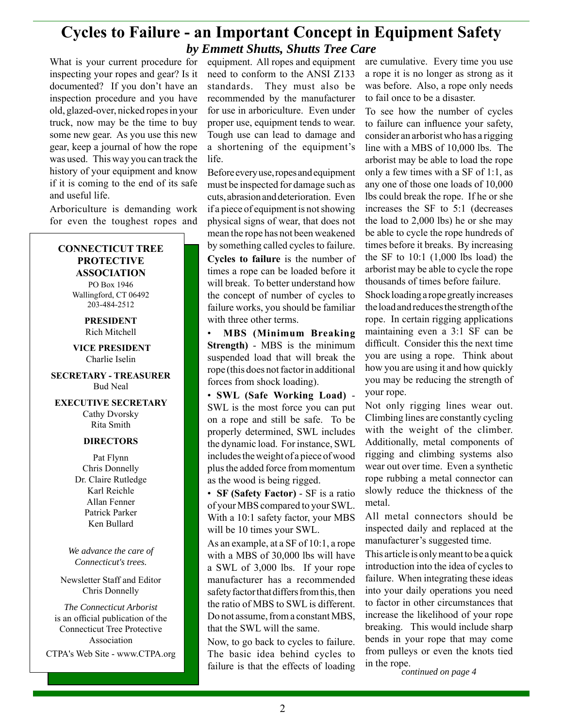## **Cycles to Failure - an Important Concept in Equipment Safety** *by Emmett Shutts, Shutts Tree Care*

What is your current procedure for inspecting your ropes and gear? Is it documented? If you don't have an inspection procedure and you have old, glazed-over, nicked ropes in your truck, now may be the time to buy some new gear. As you use this new gear, keep a journal of how the rope was used. This way you can track the history of your equipment and know if it is coming to the end of its safe and useful life.

Arboriculture is demanding work for even the toughest ropes and

**CONNECTICUT TREE PROTECTIVE ASSOCIATION** PO Box 1946

Wallingford, CT 06492 203-484-2512

#### **PRESIDENT** Rich Mitchell

 **VICE PRESIDENT** Charlie Iselin

**SECRETARY - TREASURER** Bud Neal

**EXECUTIVE SECRETARY** Cathy Dvorsky Rita Smith

#### **DIRECTORS**

Pat Flynn Chris Donnelly Dr. Claire Rutledge Karl Reichle Allan Fenner Patrick Parker Ken Bullard

*We advance the care of Connecticut's trees.*

Newsletter Staff and Editor Chris Donnelly

*The Connecticut Arborist* is an official publication of the Connecticut Tree Protective Association

CTPA's Web Site - www.CTPA.org

equipment. All ropes and equipment need to conform to the ANSI Z133 standards. They must also be recommended by the manufacturer for use in arboriculture. Even under proper use, equipment tends to wear. Tough use can lead to damage and a shortening of the equipment's life.

Before every use, ropes and equipment must be inspected for damage such as cuts, abrasion and deterioration. Even if a piece of equipment is not showing physical signs of wear, that does not mean the rope has not been weakened by something called cycles to failure. **Cycles to failure** is the number of times a rope can be loaded before it

will break. To better understand how the concept of number of cycles to failure works, you should be familiar with three other terms.

• **MBS (Minimum Breaking Strength)** - MBS is the minimum suspended load that will break the rope (this does not factor in additional forces from shock loading).

• **SWL (Safe Working Load)** - SWL is the most force you can put on a rope and still be safe. To be properly determined, SWL includes the dynamic load. For instance, SWL includes the weight of a piece of wood plus the added force from momentum as the wood is being rigged.

• **SF (Safety Factor)** - SF is a ratio of your MBS compared to your SWL. With a 10:1 safety factor, your MBS will be 10 times your SWL.

As an example, at a SF of 10:1, a rope with a MBS of 30,000 lbs will have a SWL of 3,000 lbs. If your rope manufacturer has a recommended safety factor that differs from this, then the ratio of MBS to SWL is different. Do not assume, from a constant MBS, that the SWL will the same.

Now, to go back to cycles to failure. The basic idea behind cycles to failure is that the effects of loading are cumulative. Every time you use a rope it is no longer as strong as it was before. Also, a rope only needs to fail once to be a disaster.

To see how the number of cycles to failure can influence your safety, consider an arborist who has a rigging line with a MBS of 10,000 lbs. The arborist may be able to load the rope only a few times with a SF of 1:1, as any one of those one loads of 10,000 lbs could break the rope. If he or she increases the SF to 5:1 (decreases the load to 2,000 lbs) he or she may be able to cycle the rope hundreds of times before it breaks. By increasing the SF to 10:1 (1,000 lbs load) the arborist may be able to cycle the rope thousands of times before failure.

Shock loading a rope greatly increases the load and reduces the strength of the rope. In certain rigging applications maintaining even a 3:1 SF can be difficult. Consider this the next time you are using a rope. Think about how you are using it and how quickly you may be reducing the strength of your rope.

Not only rigging lines wear out. Climbing lines are constantly cycling with the weight of the climber. Additionally, metal components of rigging and climbing systems also wear out over time. Even a synthetic rope rubbing a metal connector can slowly reduce the thickness of the metal.

All metal connectors should be inspected daily and replaced at the manufacturer's suggested time.

This article is only meant to be a quick introduction into the idea of cycles to failure. When integrating these ideas into your daily operations you need to factor in other circumstances that increase the likelihood of your rope breaking. This would include sharp bends in your rope that may come from pulleys or even the knots tied in the rope.

*continued on page 4*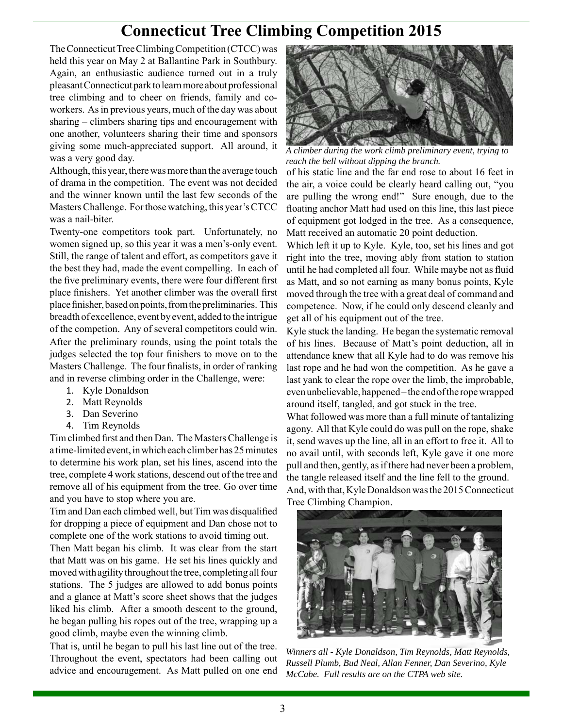## **Connecticut Tree Climbing Competition 2015**

The Connecticut Tree Climbing Competition (CTCC) was held this year on May 2 at Ballantine Park in Southbury. Again, an enthusiastic audience turned out in a truly pleasant Connecticut park to learn more about professional tree climbing and to cheer on friends, family and coworkers. As in previous years, much of the day was about sharing – climbers sharing tips and encouragement with one another, volunteers sharing their time and sponsors giving some much-appreciated support. All around, it was a very good day.

Although, this year, there was more than the average touch of drama in the competition. The event was not decided and the winner known until the last few seconds of the Masters Challenge. For those watching, this year's CTCC was a nail-biter.

Twenty-one competitors took part. Unfortunately, no women signed up, so this year it was a men's-only event. Still, the range of talent and effort, as competitors gave it the best they had, made the event compelling. In each of the five preliminary events, there were four different first place finishers. Yet another climber was the overall first place finisher, based on points, from the preliminaries. This breadth of excellence, event by event, added to the intrigue of the competion. Any of several competitors could win. After the preliminary rounds, using the point totals the judges selected the top four finishers to move on to the Masters Challenge. The four finalists, in order of ranking and in reverse climbing order in the Challenge, were:

- 1. Kyle Donaldson
- 2. Matt Reynolds
- 3. Dan Severino
- 4. Tim Reynolds

Tim climbed first and then Dan. The Masters Challenge is a time-limited event, in which each climber has 25 minutes to determine his work plan, set his lines, ascend into the tree, complete 4 work stations, descend out of the tree and remove all of his equipment from the tree. Go over time and you have to stop where you are.

Tim and Dan each climbed well, but Tim was disqualified for dropping a piece of equipment and Dan chose not to complete one of the work stations to avoid timing out.

Then Matt began his climb. It was clear from the start that Matt was on his game. He set his lines quickly and moved with agility throughout the tree, completing all four stations. The 5 judges are allowed to add bonus points and a glance at Matt's score sheet shows that the judges liked his climb. After a smooth descent to the ground, he began pulling his ropes out of the tree, wrapping up a good climb, maybe even the winning climb.

That is, until he began to pull his last line out of the tree. Throughout the event, spectators had been calling out advice and encouragement. As Matt pulled on one end



*A climber during the work climb preliminary event, trying to reach the bell without dipping the branch.*

of his static line and the far end rose to about 16 feet in the air, a voice could be clearly heard calling out, "you are pulling the wrong end!" Sure enough, due to the floating anchor Matt had used on this line, this last piece of equipment got lodged in the tree. As a consequence, Matt received an automatic 20 point deduction.

Which left it up to Kyle. Kyle, too, set his lines and got right into the tree, moving ably from station to station until he had completed all four. While maybe not as fluid as Matt, and so not earning as many bonus points, Kyle moved through the tree with a great deal of command and competence. Now, if he could only descend cleanly and get all of his equipment out of the tree.

Kyle stuck the landing. He began the systematic removal of his lines. Because of Matt's point deduction, all in attendance knew that all Kyle had to do was remove his last rope and he had won the competition. As he gave a last yank to clear the rope over the limb, the improbable, even unbelievable, happened – the end of the rope wrapped around itself, tangled, and got stuck in the tree.

What followed was more than a full minute of tantalizing agony. All that Kyle could do was pull on the rope, shake it, send waves up the line, all in an effort to free it. All to no avail until, with seconds left, Kyle gave it one more pull and then, gently, as if there had never been a problem, the tangle released itself and the line fell to the ground. And, with that, Kyle Donaldson was the 2015 Connecticut Tree Climbing Champion.



*Winners all - Kyle Donaldson, Tim Reynolds, Matt Reynolds, Russell Plumb, Bud Neal, Allan Fenner, Dan Severino, Kyle McCabe. Full results are on the CTPA web site.*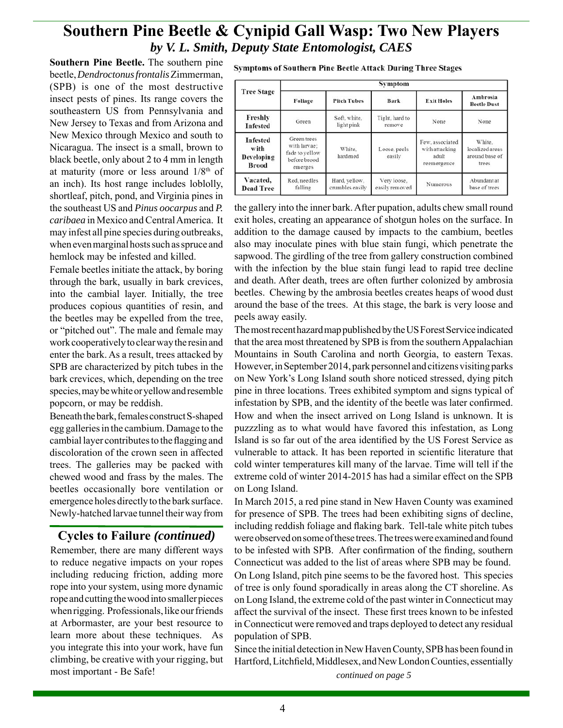## **Southern Pine Beetle & Cynipid Gall Wasp: Two New Players**  *by V. L. Smith, Deputy State Entomologist, CAES*

**Southern Pine Beetle.** The southern pine beetle, *Dendroctonus frontalis* Zimmerman, (SPB) is one of the most destructive insect pests of pines. Its range covers the southeastern US from Pennsylvania and New Jersey to Texas and from Arizona and New Mexico through Mexico and south to Nicaragua. The insect is a small, brown to black beetle, only about 2 to 4 mm in length at maturity (more or less around  $1/8<sup>th</sup>$  of an inch). Its host range includes loblolly, shortleaf, pitch, pond, and Virginia pines in the southeast US and *Pinus oocarpus* and *P. caribaea* in Mexico and Central America. It may infest all pine species during outbreaks, when even marginal hosts such as spruce and hemlock may be infested and killed.

Female beetles initiate the attack, by boring through the bark, usually in bark crevices, into the cambial layer. Initially, the tree produces copious quantities of resin, and the beetles may be expelled from the tree, or "pitched out". The male and female may work cooperatively to clear way the resin and enter the bark. As a result, trees attacked by SPB are characterized by pitch tubes in the bark crevices, which, depending on the tree species, may be white or yellow and resemble popcorn, or may be reddish.

Beneath the bark, females construct S-shaped egg galleries in the cambium. Damage to the cambial layer contributes to the flagging and discoloration of the crown seen in affected trees. The galleries may be packed with chewed wood and frass by the males. The beetles occasionally bore ventilation or emergence holes directly to the bark surface. Newly-hatched larvae tunnel their way from

#### **Cycles to Failure** *(continued)*

Remember, there are many different ways to reduce negative impacts on your ropes including reducing friction, adding more rope into your system, using more dynamic rope and cutting the wood into smaller pieces when rigging. Professionals, like our friends at Arbormaster, are your best resource to learn more about these techniques. As you integrate this into your work, have fun climbing, be creative with your rigging, but most important - Be Safe!

Symptoms of Southern Pine Beetle Attack During Three Stages

| <b>Tree Stage</b>                              | Symptom                                                                  |                                  |                               |                                                           |                                                      |
|------------------------------------------------|--------------------------------------------------------------------------|----------------------------------|-------------------------------|-----------------------------------------------------------|------------------------------------------------------|
|                                                | Foliage                                                                  | <b>Pitch Tubes</b>               | Bark                          | <b>Exit Holes</b>                                         | Ambrosia<br><b>Beetle Dust</b>                       |
| Freshly<br><b>Infested</b>                     | Green                                                                    | Soft, white,<br>light pink       | Tight, hard to<br>remove      | None                                                      | None                                                 |
| <b>Infested</b><br>with<br>Developing<br>Brood | Green trees<br>with larvae:<br>fade to vellow<br>before brood<br>emerges | White.<br>hardened               | Loose, peels<br>easily        | Few. associated<br>with attacking<br>adult<br>reemergence | White.<br>localized areas<br>around base of<br>trees |
| Vacated,<br><b>Dead Tree</b>                   | Red. needles<br>falling                                                  | Hard, yellow,<br>crumbles easily | Very loose.<br>easily removed | Numerous                                                  | Abundant at<br>base of trees                         |

the gallery into the inner bark. After pupation, adults chew small round exit holes, creating an appearance of shotgun holes on the surface. In addition to the damage caused by impacts to the cambium, beetles also may inoculate pines with blue stain fungi, which penetrate the sapwood. The girdling of the tree from gallery construction combined with the infection by the blue stain fungi lead to rapid tree decline and death. After death, trees are often further colonized by ambrosia beetles. Chewing by the ambrosia beetles creates heaps of wood dust around the base of the trees. At this stage, the bark is very loose and peels away easily.

The most recent hazard map published by the US Forest Service indicated that the area most threatened by SPB is from the southern Appalachian Mountains in South Carolina and north Georgia, to eastern Texas. However, in September 2014, park personnel and citizens visiting parks on New York's Long Island south shore noticed stressed, dying pitch pine in three locations. Trees exhibited symptom and signs typical of infestation by SPB, and the identity of the beetle was later confirmed. How and when the insect arrived on Long Island is unknown. It is puzzzling as to what would have favored this infestation, as Long Island is so far out of the area identified by the US Forest Service as vulnerable to attack. It has been reported in scientific literature that cold winter temperatures kill many of the larvae. Time will tell if the extreme cold of winter 2014-2015 has had a similar effect on the SPB on Long Island.

In March 2015, a red pine stand in New Haven County was examined for presence of SPB. The trees had been exhibiting signs of decline, including reddish foliage and flaking bark. Tell-tale white pitch tubes were observed on some of these trees. The trees were examined and found to be infested with SPB. After confirmation of the finding, southern Connecticut was added to the list of areas where SPB may be found. On Long Island, pitch pine seems to be the favored host. This species of tree is only found sporadically in areas along the CT shoreline. As on Long Island, the extreme cold of the past winter in Connecticut may affect the survival of the insect. These first trees known to be infested in Connecticut were removed and traps deployed to detect any residual population of SPB.

Since the initial detection in New Haven County, SPB has been found in Hartford, Litchfield, Middlesex, and New London Counties, essentially *continued on page 5*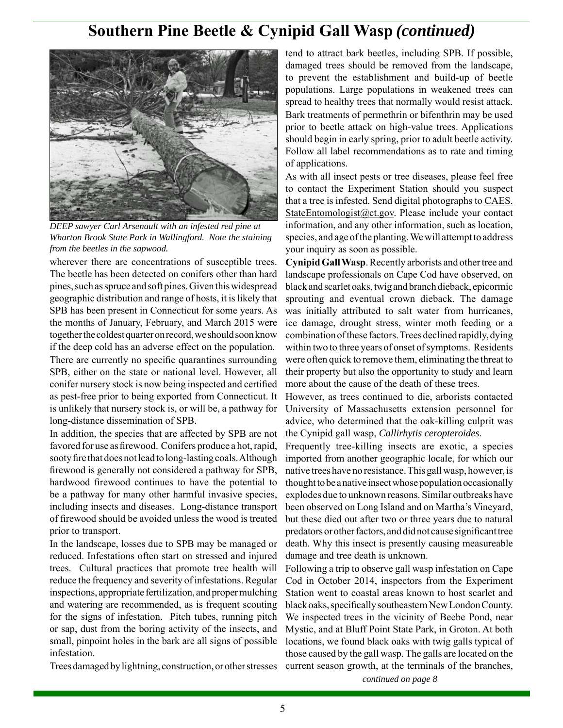## **Southern Pine Beetle & Cynipid Gall Wasp** *(continued)*



*DEEP sawyer Carl Arsenault with an infested red pine at Wharton Brook State Park in Wallingford. Note the staining from the beetles in the sapwood.*

wherever there are concentrations of susceptible trees. The beetle has been detected on conifers other than hard pines, such as spruce and soft pines. Given this widespread geographic distribution and range of hosts, it is likely that SPB has been present in Connecticut for some years. As the months of January, February, and March 2015 were together the coldest quarter on record, we should soon know if the deep cold has an adverse effect on the population.

There are currently no specific quarantines surrounding SPB, either on the state or national level. However, all conifer nursery stock is now being inspected and certified as pest-free prior to being exported from Connecticut. It is unlikely that nursery stock is, or will be, a pathway for long-distance dissemination of SPB.

In addition, the species that are affected by SPB are not favored for use as firewood. Conifers produce a hot, rapid, sooty fire that does not lead to long-lasting coals. Although firewood is generally not considered a pathway for SPB, hardwood firewood continues to have the potential to be a pathway for many other harmful invasive species, including insects and diseases. Long-distance transport of firewood should be avoided unless the wood is treated prior to transport.

In the landscape, losses due to SPB may be managed or reduced. Infestations often start on stressed and injured trees. Cultural practices that promote tree health will reduce the frequency and severity of infestations. Regular inspections, appropriate fertilization, and proper mulching and watering are recommended, as is frequent scouting for the signs of infestation. Pitch tubes, running pitch or sap, dust from the boring activity of the insects, and small, pinpoint holes in the bark are all signs of possible infestation.

Trees damaged by lightning, construction, or other stresses

tend to attract bark beetles, including SPB. If possible, damaged trees should be removed from the landscape, to prevent the establishment and build-up of beetle populations. Large populations in weakened trees can spread to healthy trees that normally would resist attack. Bark treatments of permethrin or bifenthrin may be used prior to beetle attack on high-value trees. Applications should begin in early spring, prior to adult beetle activity. Follow all label recommendations as to rate and timing of applications.

As with all insect pests or tree diseases, please feel free to contact the Experiment Station should you suspect that a tree is infested. Send digital photographs to CAES. StateEntomologist@ct.gov. Please include your contact information, and any other information, such as location, species, and age of the planting. We will attempt to address your inquiry as soon as possible.

**Cynipid Gall Wasp**. Recently arborists and other tree and landscape professionals on Cape Cod have observed, on black and scarlet oaks, twig and branch dieback, epicormic sprouting and eventual crown dieback. The damage was initially attributed to salt water from hurricanes, ice damage, drought stress, winter moth feeding or a combination of these factors. Trees declined rapidly, dying within two to three years of onset of symptoms. Residents were often quick to remove them, eliminating the threat to their property but also the opportunity to study and learn more about the cause of the death of these trees.

However, as trees continued to die, arborists contacted University of Massachusetts extension personnel for advice, who determined that the oak-killing culprit was the Cynipid gall wasp, *Callirhytis ceropteroides*.

Frequently tree-killing insects are exotic, a species imported from another geographic locale, for which our native trees have no resistance. This gall wasp, however, is thought to be a native insect whose population occasionally explodes due to unknown reasons. Similar outbreaks have been observed on Long Island and on Martha's Vineyard, but these died out after two or three years due to natural predators or other factors, and did not cause significant tree death. Why this insect is presently causing measureable damage and tree death is unknown.

*continued on page 8* Following a trip to observe gall wasp infestation on Cape Cod in October 2014, inspectors from the Experiment Station went to coastal areas known to host scarlet and black oaks, specifically southeastern New London County. We inspected trees in the vicinity of Beebe Pond, near Mystic, and at Bluff Point State Park, in Groton. At both locations, we found black oaks with twig galls typical of those caused by the gall wasp. The galls are located on the current season growth, at the terminals of the branches,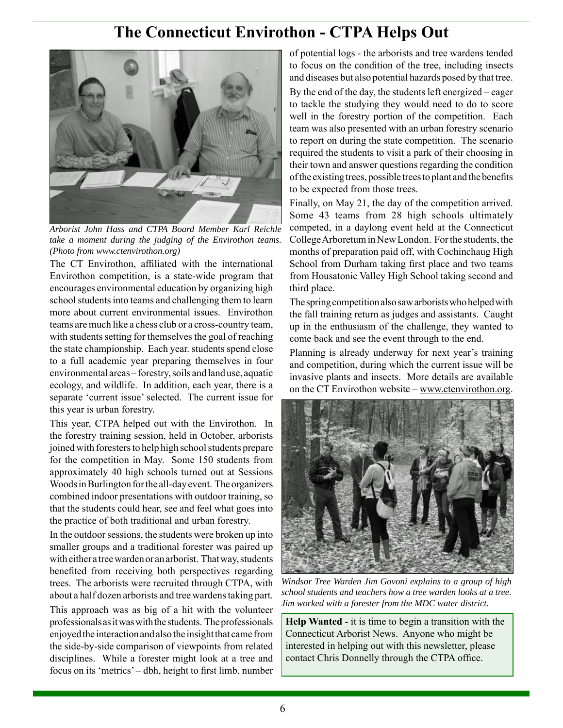## **The Connecticut Envirothon - CTPA Helps Out**



*Arborist John Hass and CTPA Board Member Karl Reichle take a moment during the judging of the Envirothon teams. (Photo from www.ctenvirothon.org)*

The CT Envirothon, affiliated with the international Envirothon competition, is a state-wide program that encourages environmental education by organizing high school students into teams and challenging them to learn more about current environmental issues. Envirothon teams are much like a chess club or a cross-country team, with students setting for themselves the goal of reaching the state championship. Each year. students spend close to a full academic year preparing themselves in four environmental areas – forestry, soils and land use, aquatic ecology, and wildlife. In addition, each year, there is a separate 'current issue' selected. The current issue for this year is urban forestry.

This year, CTPA helped out with the Envirothon. In the forestry training session, held in October, arborists joined with foresters to help high school students prepare for the competition in May. Some 150 students from approximately 40 high schools turned out at Sessions Woods in Burlington for the all-day event. The organizers combined indoor presentations with outdoor training, so that the students could hear, see and feel what goes into the practice of both traditional and urban forestry.

In the outdoor sessions, the students were broken up into smaller groups and a traditional forester was paired up with either a tree warden or an arborist. That way, students benefited from receiving both perspectives regarding trees. The arborists were recruited through CTPA, with about a half dozen arborists and tree wardens taking part. This approach was as big of a hit with the volunteer professionals as it was with the students. The professionals enjoyed the interaction and also the insight that came from the side-by-side comparison of viewpoints from related disciplines. While a forester might look at a tree and focus on its 'metrics' – dbh, height to first limb, number

of potential logs - the arborists and tree wardens tended to focus on the condition of the tree, including insects and diseases but also potential hazards posed by that tree.

By the end of the day, the students left energized – eager to tackle the studying they would need to do to score well in the forestry portion of the competition. Each team was also presented with an urban forestry scenario to report on during the state competition. The scenario required the students to visit a park of their choosing in their town and answer questions regarding the condition of the existing trees, possible trees to plant and the benefits to be expected from those trees.

Finally, on May 21, the day of the competition arrived. Some 43 teams from 28 high schools ultimately competed, in a daylong event held at the Connecticut College Arboretum in New London. For the students, the months of preparation paid off, with Cochinchaug High School from Durham taking first place and two teams from Housatonic Valley High School taking second and third place.

The spring competition also saw arborists who helped with the fall training return as judges and assistants. Caught up in the enthusiasm of the challenge, they wanted to come back and see the event through to the end.

Planning is already underway for next year's training and competition, during which the current issue will be invasive plants and insects. More details are available on the CT Envirothon website – www.ctenvirothon.org.



*Windsor Tree Warden Jim Govoni explains to a group of high school students and teachers how a tree warden looks at a tree. Jim worked with a forester from the MDC water district.*

**Help Wanted** - it is time to begin a transition with the Connecticut Arborist News. Anyone who might be interested in helping out with this newsletter, please contact Chris Donnelly through the CTPA office.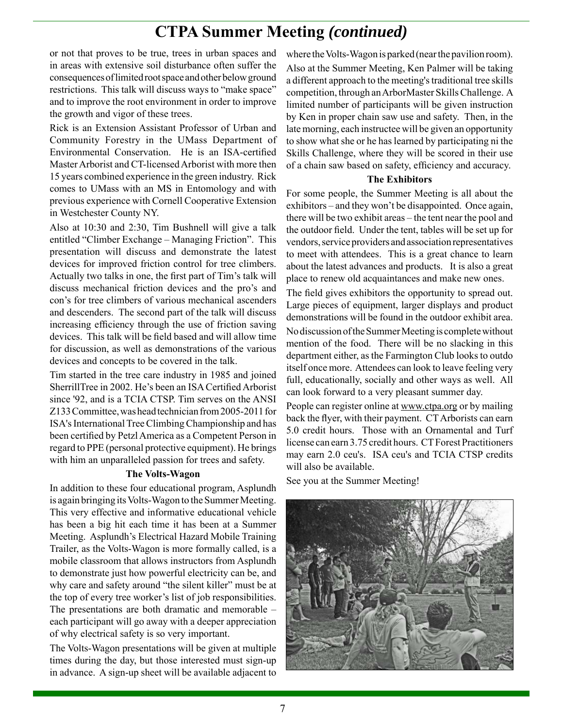## **CTPA Summer Meeting** *(continued)*

or not that proves to be true, trees in urban spaces and in areas with extensive soil disturbance often suffer the consequences of limited root space and other below ground restrictions. This talk will discuss ways to "make space" and to improve the root environment in order to improve the growth and vigor of these trees.

Rick is an Extension Assistant Professor of Urban and Community Forestry in the UMass Department of Environmental Conservation. He is an ISA-certified Master Arborist and CT-licensed Arborist with more then 15 years combined experience in the green industry. Rick comes to UMass with an MS in Entomology and with previous experience with Cornell Cooperative Extension in Westchester County NY.

Also at 10:30 and 2:30, Tim Bushnell will give a talk entitled "Climber Exchange – Managing Friction". This presentation will discuss and demonstrate the latest devices for improved friction control for tree climbers. Actually two talks in one, the first part of Tim's talk will discuss mechanical friction devices and the pro's and con's for tree climbers of various mechanical ascenders and descenders. The second part of the talk will discuss increasing efficiency through the use of friction saving devices. This talk will be field based and will allow time for discussion, as well as demonstrations of the various devices and concepts to be covered in the talk.

Tim started in the tree care industry in 1985 and joined SherrillTree in 2002. He's been an ISA Certified Arborist since '92, and is a TCIA CTSP. Tim serves on the ANSI Z133 Committee, was head technician from 2005-2011 for ISA's International Tree Climbing Championship and has been certified by Petzl America as a Competent Person in regard to PPE (personal protective equipment). He brings with him an unparalleled passion for trees and safety.

#### **The Volts-Wagon**

In addition to these four educational program, Asplundh is again bringing its Volts-Wagon to the Summer Meeting. This very effective and informative educational vehicle has been a big hit each time it has been at a Summer Meeting. Asplundh's Electrical Hazard Mobile Training Trailer, as the Volts-Wagon is more formally called, is a mobile classroom that allows instructors from Asplundh to demonstrate just how powerful electricity can be, and why care and safety around "the silent killer" must be at the top of every tree worker's list of job responsibilities. The presentations are both dramatic and memorable – each participant will go away with a deeper appreciation of why electrical safety is so very important.

The Volts-Wagon presentations will be given at multiple times during the day, but those interested must sign-up in advance. A sign-up sheet will be available adjacent to

where the Volts-Wagon is parked (near the pavilion room).

Also at the Summer Meeting, Ken Palmer will be taking a different approach to the meeting's traditional tree skills competition, through an ArborMaster Skills Challenge. A limited number of participants will be given instruction by Ken in proper chain saw use and safety. Then, in the late morning, each instructee will be given an opportunity to show what she or he has learned by participating ni the Skills Challenge, where they will be scored in their use of a chain saw based on safety, efficiency and accuracy.

#### **The Exhibitors**

For some people, the Summer Meeting is all about the exhibitors – and they won't be disappointed. Once again, there will be two exhibit areas – the tent near the pool and the outdoor field. Under the tent, tables will be set up for vendors, service providers and association representatives to meet with attendees. This is a great chance to learn about the latest advances and products. It is also a great place to renew old acquaintances and make new ones.

The field gives exhibitors the opportunity to spread out. Large pieces of equipment, larger displays and product demonstrations will be found in the outdoor exhibit area. No discussion of the Summer Meeting is complete without mention of the food. There will be no slacking in this department either, as the Farmington Club looks to outdo itself once more. Attendees can look to leave feeling very full, educationally, socially and other ways as well. All can look forward to a very pleasant summer day.

People can register online at www.ctpa.org or by mailing back the flyer, with their payment. CT Arborists can earn 5.0 credit hours. Those with an Ornamental and Turf license can earn 3.75 credit hours. CT Forest Practitioners may earn 2.0 ceu's. ISA ceu's and TCIA CTSP credits will also be available.

See you at the Summer Meeting!